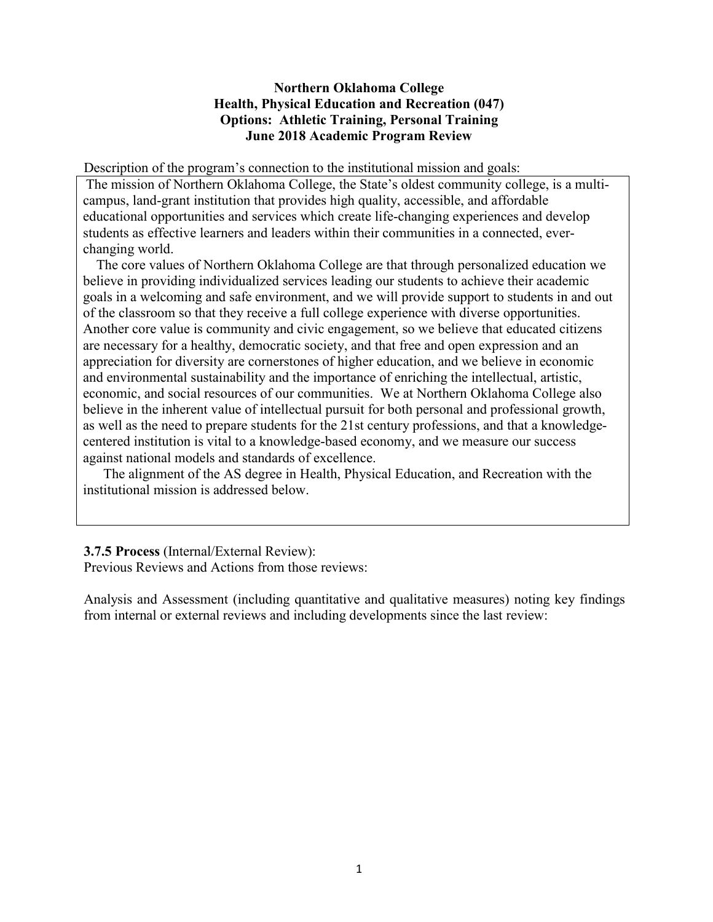#### **Northern Oklahoma College Health, Physical Education and Recreation (047) Options: Athletic Training, Personal Training June 2018 Academic Program Review**

Description of the program's connection to the institutional mission and goals:

The mission of Northern Oklahoma College, the State's oldest community college, is a multicampus, land-grant institution that provides high quality, accessible, and affordable educational opportunities and services which create life-changing experiences and develop students as effective learners and leaders within their communities in a connected, everchanging world.

 The core values of Northern Oklahoma College are that through personalized education we believe in providing individualized services leading our students to achieve their academic goals in a welcoming and safe environment, and we will provide support to students in and out of the classroom so that they receive a full college experience with diverse opportunities. Another core value is community and civic engagement, so we believe that educated citizens are necessary for a healthy, democratic society, and that free and open expression and an appreciation for diversity are cornerstones of higher education, and we believe in economic and environmental sustainability and the importance of enriching the intellectual, artistic, economic, and social resources of our communities. We at Northern Oklahoma College also believe in the inherent value of intellectual pursuit for both personal and professional growth, as well as the need to prepare students for the 21st century professions, and that a knowledgecentered institution is vital to a knowledge-based economy, and we measure our success against national models and standards of excellence.

 The alignment of the AS degree in Health, Physical Education, and Recreation with the institutional mission is addressed below.

#### **3.7.5 Process** (Internal/External Review):

Previous Reviews and Actions from those reviews:

Analysis and Assessment (including quantitative and qualitative measures) noting key findings from internal or external reviews and including developments since the last review: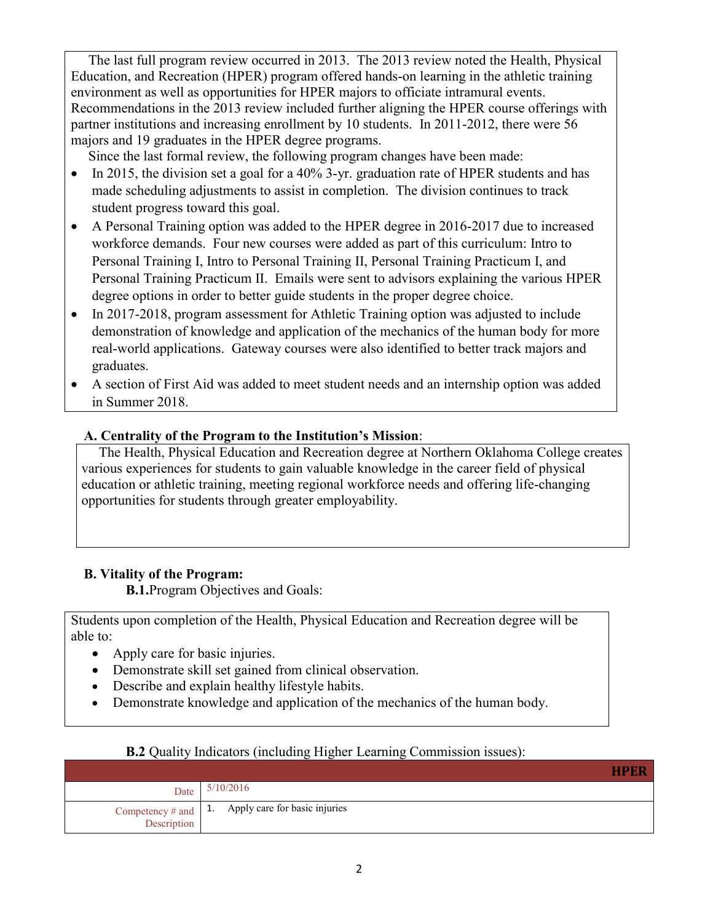The last full program review occurred in 2013. The 2013 review noted the Health, Physical Education, and Recreation (HPER) program offered hands-on learning in the athletic training environment as well as opportunities for HPER majors to officiate intramural events. Recommendations in the 2013 review included further aligning the HPER course offerings with partner institutions and increasing enrollment by 10 students. In 2011-2012, there were 56 majors and 19 graduates in the HPER degree programs.

Since the last formal review, the following program changes have been made:

- In 2015, the division set a goal for a 40% 3-yr. graduation rate of HPER students and has made scheduling adjustments to assist in completion. The division continues to track student progress toward this goal.
- A Personal Training option was added to the HPER degree in 2016-2017 due to increased workforce demands. Four new courses were added as part of this curriculum: Intro to Personal Training I, Intro to Personal Training II, Personal Training Practicum I, and Personal Training Practicum II. Emails were sent to advisors explaining the various HPER degree options in order to better guide students in the proper degree choice.
- In 2017-2018, program assessment for Athletic Training option was adjusted to include demonstration of knowledge and application of the mechanics of the human body for more real-world applications. Gateway courses were also identified to better track majors and graduates.
- A section of First Aid was added to meet student needs and an internship option was added in Summer 2018.

## **A. Centrality of the Program to the Institution's Mission**:

 The Health, Physical Education and Recreation degree at Northern Oklahoma College creates various experiences for students to gain valuable knowledge in the career field of physical education or athletic training, meeting regional workforce needs and offering life-changing opportunities for students through greater employability.

# **B. Vitality of the Program:**

**B.1.**Program Objectives and Goals:

Students upon completion of the Health, Physical Education and Recreation degree will be able to:

- Apply care for basic injuries.
- Demonstrate skill set gained from clinical observation.
- Describe and explain healthy lifestyle habits.
- Demonstrate knowledge and application of the mechanics of the human body.

| Date                                       | 5/10/2016                     |
|--------------------------------------------|-------------------------------|
| Competency # and $\vert$ 1.<br>Description | Apply care for basic injuries |

### **B.2** Quality Indicators (including Higher Learning Commission issues):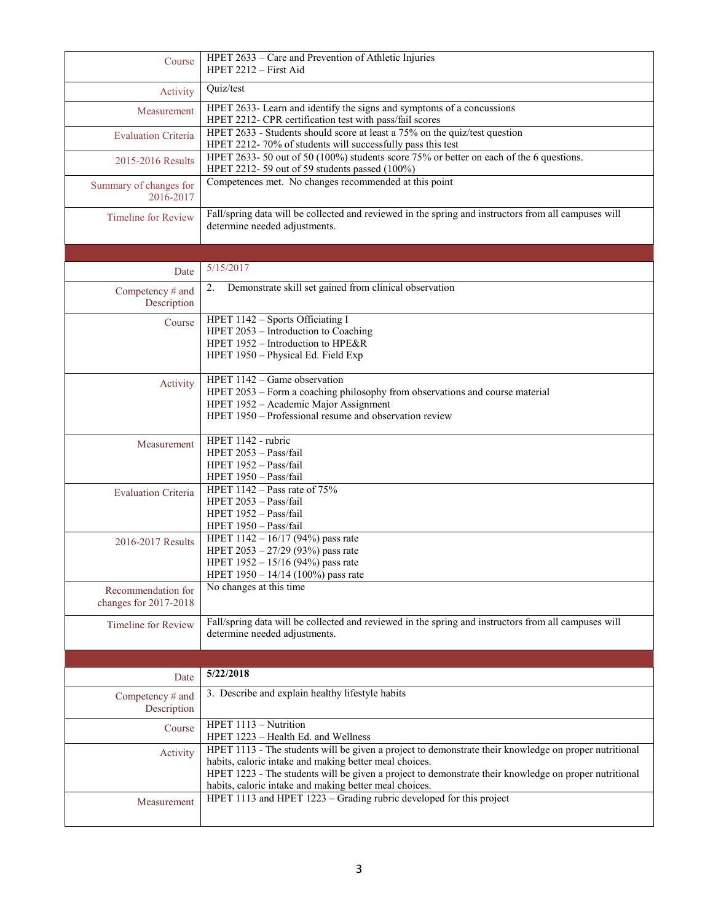| Course                          | HPET 2633 - Care and Prevention of Athletic Injuries<br>HPET $2212$ – First Aid                                                                                 |
|---------------------------------|-----------------------------------------------------------------------------------------------------------------------------------------------------------------|
| Activity                        | Quiz/test                                                                                                                                                       |
| Measurement                     | HPET 2633- Learn and identify the signs and symptoms of a concussions<br>HPET 2212- CPR certification test with pass/fail scores                                |
| <b>Evaluation Criteria</b>      | HPET 2633 - Students should score at least a 75% on the quiz/test question<br>HPET 2212-70% of students will successfully pass this test                        |
| 2015-2016 Results               | HPET 2633-50 out of 50 (100%) students score 75% or better on each of the 6 questions.                                                                          |
| Summary of changes for          | HPET 2212-59 out of 59 students passed (100%)<br>Competences met. No changes recommended at this point                                                          |
| 2016-2017                       |                                                                                                                                                                 |
| <b>Timeline for Review</b>      | Fall/spring data will be collected and reviewed in the spring and instructors from all campuses will<br>determine needed adjustments.                           |
|                                 |                                                                                                                                                                 |
| Date                            | 5/15/2017                                                                                                                                                       |
| Competency # and<br>Description | Demonstrate skill set gained from clinical observation<br>2.                                                                                                    |
| Course                          | HPET 1142 - Sports Officiating I                                                                                                                                |
|                                 | HPET 2053 - Introduction to Coaching<br>HPET 1952 - Introduction to HPE&R                                                                                       |
|                                 | HPET 1950 - Physical Ed. Field Exp                                                                                                                              |
| Activity                        | HPET 1142 - Game observation                                                                                                                                    |
|                                 | HPET 2053 - Form a coaching philosophy from observations and course material<br>HPET 1952 - Academic Major Assignment                                           |
|                                 | HPET 1950 – Professional resume and observation review                                                                                                          |
| Measurement                     | HPET 1142 - rubric<br>HPET 2053 - Pass/fail                                                                                                                     |
|                                 | HPET 1952 - Pass/fail                                                                                                                                           |
|                                 |                                                                                                                                                                 |
|                                 | HPET 1950 - Pass/fail                                                                                                                                           |
| <b>Evaluation Criteria</b>      | HPET $1142$ – Pass rate of $75%$<br>HPET 2053 - Pass/fail                                                                                                       |
|                                 | HPET 1952 - Pass/fail                                                                                                                                           |
|                                 | HPET 1950 - Pass/fail                                                                                                                                           |
| 2016-2017 Results               | HPET 1142 - 16/17 (94%) pass rate<br>HPET 2053 - 27/29 (93%) pass rate                                                                                          |
|                                 | HPET 1952 - 15/16 (94%) pass rate                                                                                                                               |
| Recommendation for              | HPET 1950 - 14/14 (100%) pass rate<br>No changes at this time                                                                                                   |
| changes for 2017-2018           |                                                                                                                                                                 |
| <b>Timeline for Review</b>      | Fall/spring data will be collected and reviewed in the spring and instructors from all campuses will                                                            |
|                                 | determine needed adjustments.                                                                                                                                   |
|                                 |                                                                                                                                                                 |
| Date                            | 5/22/2018                                                                                                                                                       |
| Competency # and<br>Description | 3. Describe and explain healthy lifestyle habits                                                                                                                |
| Course                          | HPET 1113 - Nutrition                                                                                                                                           |
| Activity                        | HPET 1223 - Health Ed. and Wellness<br>HPET 1113 - The students will be given a project to demonstrate their knowledge on proper nutritional                    |
|                                 | habits, caloric intake and making better meal choices.                                                                                                          |
|                                 | HPET 1223 - The students will be given a project to demonstrate their knowledge on proper nutritional<br>habits, caloric intake and making better meal choices. |
| Measurement                     | HPET 1113 and HPET 1223 - Grading rubric developed for this project                                                                                             |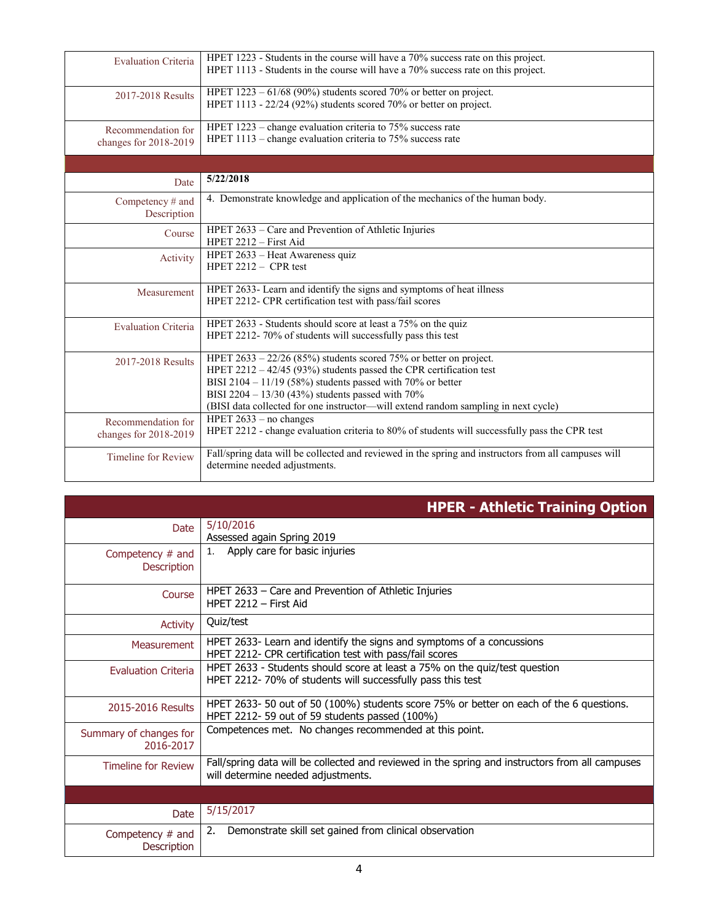| <b>Evaluation Criteria</b> | HPET 1223 - Students in the course will have a 70% success rate on this project.                     |
|----------------------------|------------------------------------------------------------------------------------------------------|
|                            | HPET 1113 - Students in the course will have a 70% success rate on this project.                     |
|                            | HPET $1223 - 61/68$ (90%) students scored 70% or better on project.                                  |
| 2017-2018 Results          | HPET 1113 - 22/24 (92%) students scored 70% or better on project.                                    |
|                            |                                                                                                      |
| Recommendation for         | HPET $1223$ – change evaluation criteria to 75% success rate                                         |
| changes for 2018-2019      | HPET $1113$ – change evaluation criteria to 75% success rate                                         |
|                            |                                                                                                      |
|                            |                                                                                                      |
| Date                       | 5/22/2018                                                                                            |
| Competency # and           | 4. Demonstrate knowledge and application of the mechanics of the human body.                         |
| Description                |                                                                                                      |
| Course                     | HPET 2633 – Care and Prevention of Athletic Injuries                                                 |
|                            | $HPET 2212 - First Aid$                                                                              |
| Activity                   | HPET 2633 - Heat Awareness quiz                                                                      |
|                            | HPET $2212 - CPR$ test                                                                               |
| Measurement                | HPET 2633- Learn and identify the signs and symptoms of heat illness                                 |
|                            | HPET 2212- CPR certification test with pass/fail scores                                              |
|                            |                                                                                                      |
| <b>Evaluation Criteria</b> | HPET 2633 - Students should score at least a 75% on the quiz                                         |
|                            | HPET 2212-70% of students will successfully pass this test                                           |
| 2017-2018 Results          | HPET $2633 - 22/26$ (85%) students scored 75% or better on project.                                  |
|                            | HPET $2212 - 42/45$ (93%) students passed the CPR certification test                                 |
|                            | BISI 2104 - 11/19 (58%) students passed with 70% or better                                           |
|                            | BISI 2204 - 13/30 (43%) students passed with 70%                                                     |
|                            | (BISI data collected for one instructor—will extend random sampling in next cycle)                   |
| Recommendation for         | HPET $2633 - no$ changes                                                                             |
| changes for 2018-2019      | HPET 2212 - change evaluation criteria to 80% of students will successfully pass the CPR test        |
| <b>Timeline for Review</b> | Fall/spring data will be collected and reviewed in the spring and instructors from all campuses will |
|                            | determine needed adjustments.                                                                        |
|                            |                                                                                                      |

|                                        | <b>HPER - Athletic Training Option</b>                                                                                                   |
|----------------------------------------|------------------------------------------------------------------------------------------------------------------------------------------|
| Date.                                  | 5/10/2016<br>Assessed again Spring 2019                                                                                                  |
| Competency # and<br><b>Description</b> | Apply care for basic injuries<br>1.                                                                                                      |
| Course                                 | HPET 2633 – Care and Prevention of Athletic Injuries<br>HPFT 2212 - First Aid                                                            |
| <b>Activity</b>                        | Quiz/test                                                                                                                                |
| <b>Measurement</b>                     | HPET 2633- Learn and identify the signs and symptoms of a concussions<br>HPET 2212- CPR certification test with pass/fail scores         |
| <b>Evaluation Criteria</b>             | HPET 2633 - Students should score at least a 75% on the quiz/test question<br>HPET 2212-70% of students will successfully pass this test |
| 2015-2016 Results                      | HPET 2633-50 out of 50 (100%) students score 75% or better on each of the 6 questions.<br>HPET 2212-59 out of 59 students passed (100%)  |
| Summary of changes for<br>2016-2017    | Competences met. No changes recommended at this point.                                                                                   |
| <b>Timeline for Review</b>             | Fall/spring data will be collected and reviewed in the spring and instructors from all campuses<br>will determine needed adjustments.    |
|                                        |                                                                                                                                          |
| Date                                   | 5/15/2017                                                                                                                                |
| Competency $#$ and<br>Description      | Demonstrate skill set gained from clinical observation<br>2.                                                                             |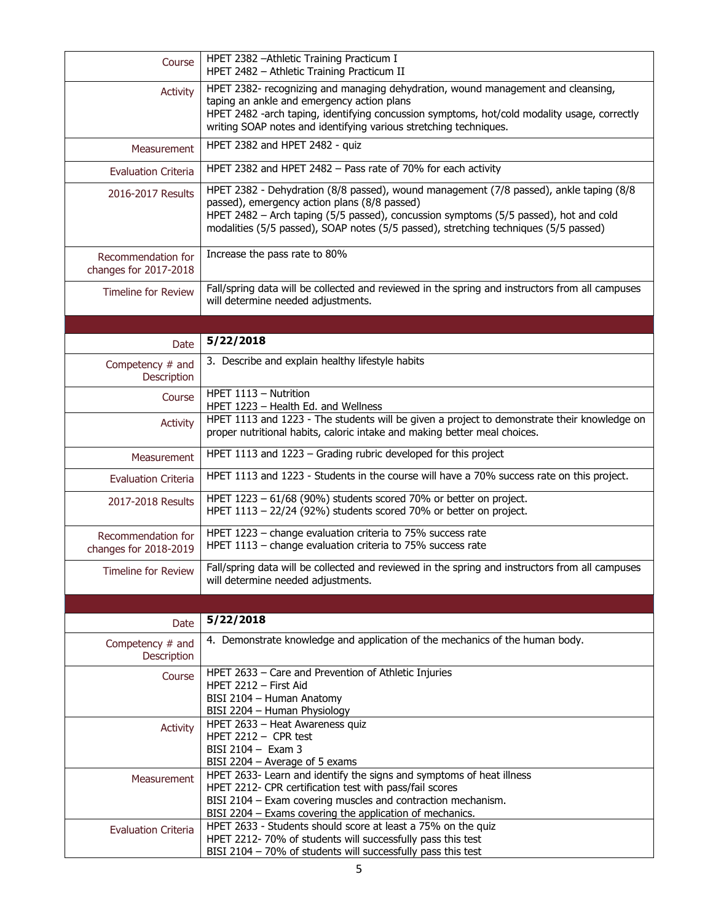| Course                                      | HPET 2382 - Athletic Training Practicum I<br>HPET 2482 - Athletic Training Practicum II                                                                                                                                                                                                                                |  |  |
|---------------------------------------------|------------------------------------------------------------------------------------------------------------------------------------------------------------------------------------------------------------------------------------------------------------------------------------------------------------------------|--|--|
| <b>Activity</b>                             | HPET 2382- recognizing and managing dehydration, wound management and cleansing,<br>taping an ankle and emergency action plans<br>HPET 2482 -arch taping, identifying concussion symptoms, hot/cold modality usage, correctly<br>writing SOAP notes and identifying various stretching techniques.                     |  |  |
| <b>Measurement</b>                          | HPET 2382 and HPET 2482 - quiz                                                                                                                                                                                                                                                                                         |  |  |
| <b>Evaluation Criteria</b>                  | HPET 2382 and HPET 2482 - Pass rate of 70% for each activity                                                                                                                                                                                                                                                           |  |  |
| 2016-2017 Results                           | HPET 2382 - Dehydration (8/8 passed), wound management (7/8 passed), ankle taping (8/8<br>passed), emergency action plans (8/8 passed)<br>HPET 2482 - Arch taping (5/5 passed), concussion symptoms (5/5 passed), hot and cold<br>modalities (5/5 passed), SOAP notes (5/5 passed), stretching techniques (5/5 passed) |  |  |
| Recommendation for<br>changes for 2017-2018 | Increase the pass rate to 80%                                                                                                                                                                                                                                                                                          |  |  |
| <b>Timeline for Review</b>                  | Fall/spring data will be collected and reviewed in the spring and instructors from all campuses<br>will determine needed adjustments.                                                                                                                                                                                  |  |  |
|                                             |                                                                                                                                                                                                                                                                                                                        |  |  |
| Date                                        | 5/22/2018                                                                                                                                                                                                                                                                                                              |  |  |
| Competency # and<br>Description             | 3. Describe and explain healthy lifestyle habits                                                                                                                                                                                                                                                                       |  |  |
| Course                                      | HPET 1113 - Nutrition<br>HPET 1223 - Health Ed. and Wellness                                                                                                                                                                                                                                                           |  |  |
| <b>Activity</b>                             | HPET 1113 and 1223 - The students will be given a project to demonstrate their knowledge on<br>proper nutritional habits, caloric intake and making better meal choices.                                                                                                                                               |  |  |
| Measurement                                 | HPET 1113 and 1223 - Grading rubric developed for this project                                                                                                                                                                                                                                                         |  |  |
| <b>Evaluation Criteria</b>                  | HPET 1113 and 1223 - Students in the course will have a 70% success rate on this project.                                                                                                                                                                                                                              |  |  |
| 2017-2018 Results                           | HPET 1223 - 61/68 (90%) students scored 70% or better on project.<br>HPET 1113 - 22/24 (92%) students scored 70% or better on project.                                                                                                                                                                                 |  |  |
| Recommendation for<br>changes for 2018-2019 | HPET 1223 - change evaluation criteria to 75% success rate<br>HPET 1113 - change evaluation criteria to 75% success rate                                                                                                                                                                                               |  |  |
| <b>Timeline for Review</b>                  | Fall/spring data will be collected and reviewed in the spring and instructors from all campuses<br>will determine needed adjustments.                                                                                                                                                                                  |  |  |
|                                             |                                                                                                                                                                                                                                                                                                                        |  |  |
| Date                                        | 5/22/2018                                                                                                                                                                                                                                                                                                              |  |  |
| Competency # and<br>Description             | 4. Demonstrate knowledge and application of the mechanics of the human body.                                                                                                                                                                                                                                           |  |  |
| Course                                      | HPET 2633 - Care and Prevention of Athletic Injuries<br>HPET $2212 -$ First Aid<br>BISI 2104 - Human Anatomy<br>BISI 2204 - Human Physiology                                                                                                                                                                           |  |  |
| <b>Activity</b>                             | HPET 2633 - Heat Awareness quiz<br>HPET 2212 $-$ CPR test<br>BISI 2104 - Exam 3<br>BISI 2204 - Average of 5 exams                                                                                                                                                                                                      |  |  |
| Measurement                                 | HPET 2633- Learn and identify the signs and symptoms of heat illness<br>HPET 2212- CPR certification test with pass/fail scores<br>BISI 2104 - Exam covering muscles and contraction mechanism.<br>BISI 2204 - Exams covering the application of mechanics.                                                            |  |  |
| <b>Evaluation Criteria</b>                  | HPET 2633 - Students should score at least a 75% on the quiz<br>HPET 2212-70% of students will successfully pass this test<br>BISI 2104 - 70% of students will successfully pass this test                                                                                                                             |  |  |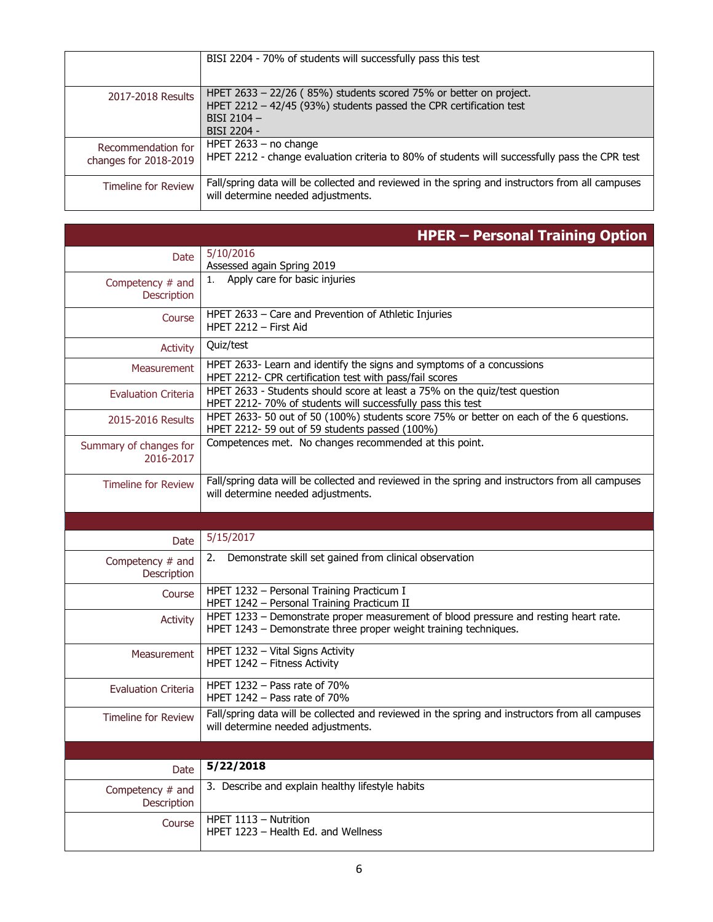|                                             | BISI 2204 - 70% of students will successfully pass this test                                                                              |
|---------------------------------------------|-------------------------------------------------------------------------------------------------------------------------------------------|
| 2017-2018 Results                           | HPET $2633 - 22/26$ (85%) students scored 75% or better on project.<br>HPET 2212 - 42/45 (93%) students passed the CPR certification test |
|                                             | BISI 2104 $-$<br>BISI 2204 -                                                                                                              |
| Recommendation for<br>changes for 2018-2019 | HPET $2633 - no change$<br>HPET 2212 - change evaluation criteria to 80% of students will successfully pass the CPR test                  |
| <b>Timeline for Review</b>                  | Fall/spring data will be collected and reviewed in the spring and instructors from all campuses<br>will determine needed adjustments.     |

|                                        | <b>HPER - Personal Training Option</b>                                                                                                                   |
|----------------------------------------|----------------------------------------------------------------------------------------------------------------------------------------------------------|
| Date                                   | 5/10/2016                                                                                                                                                |
|                                        | Assessed again Spring 2019                                                                                                                               |
| Competency # and<br><b>Description</b> | Apply care for basic injuries                                                                                                                            |
| Course                                 | HPET 2633 - Care and Prevention of Athletic Injuries<br>HPET $2212 -$ First Aid                                                                          |
| <b>Activity</b>                        | Quiz/test                                                                                                                                                |
| Measurement                            | HPET 2633- Learn and identify the signs and symptoms of a concussions<br>HPET 2212- CPR certification test with pass/fail scores                         |
| <b>Evaluation Criteria</b>             | HPET 2633 - Students should score at least a 75% on the quiz/test question<br>HPET 2212-70% of students will successfully pass this test                 |
| 2015-2016 Results                      | HPET 2633-50 out of 50 (100%) students score 75% or better on each of the 6 questions.<br>HPET 2212-59 out of 59 students passed (100%)                  |
| Summary of changes for<br>2016-2017    | Competences met. No changes recommended at this point.                                                                                                   |
| <b>Timeline for Review</b>             | Fall/spring data will be collected and reviewed in the spring and instructors from all campuses<br>will determine needed adjustments.                    |
|                                        |                                                                                                                                                          |
| Date                                   | 5/15/2017                                                                                                                                                |
| Competency # and<br>Description        | Demonstrate skill set gained from clinical observation<br>2.                                                                                             |
| Course                                 | HPET 1232 - Personal Training Practicum I<br>HPET 1242 - Personal Training Practicum II                                                                  |
| Activity                               | HPET 1233 - Demonstrate proper measurement of blood pressure and resting heart rate.<br>HPET 1243 - Demonstrate three proper weight training techniques. |
| <b>Measurement</b>                     | HPET 1232 - Vital Signs Activity<br>HPET 1242 - Fitness Activity                                                                                         |
| <b>Evaluation Criteria</b>             | HPET $1232 -$ Pass rate of $70\%$<br>HPET $1242 -$ Pass rate of 70%                                                                                      |
| <b>Timeline for Review</b>             | Fall/spring data will be collected and reviewed in the spring and instructors from all campuses<br>will determine needed adjustments.                    |
|                                        |                                                                                                                                                          |
| Date                                   | 5/22/2018                                                                                                                                                |
| Competency # and<br>Description        | 3. Describe and explain healthy lifestyle habits                                                                                                         |
| Course                                 | HPET 1113 - Nutrition<br>HPET 1223 - Health Ed. and Wellness                                                                                             |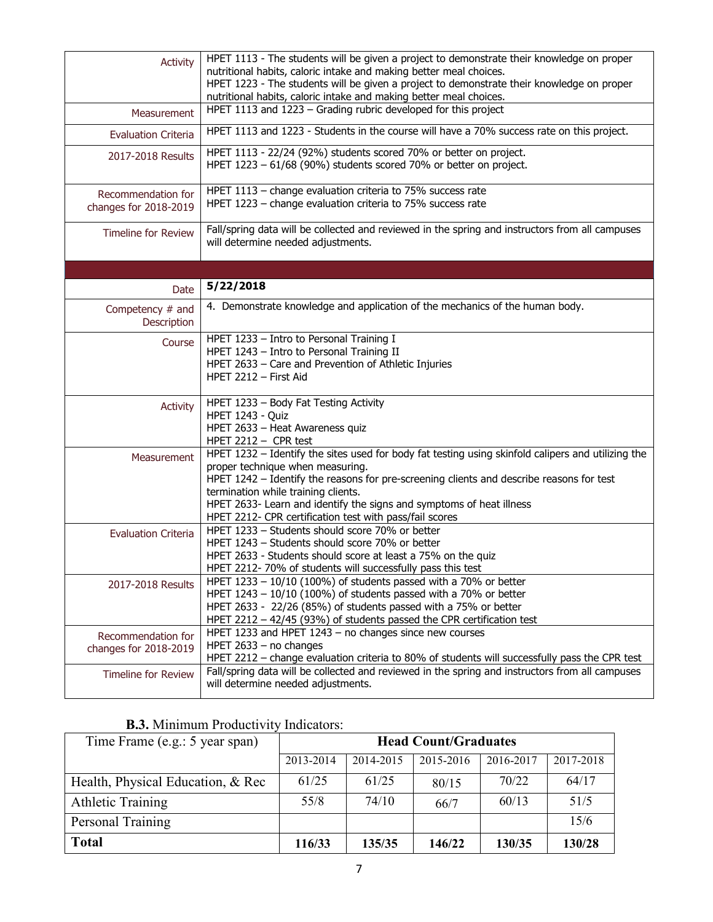| Activity                                    | HPET 1113 - The students will be given a project to demonstrate their knowledge on proper<br>nutritional habits, caloric intake and making better meal choices.<br>HPET 1223 - The students will be given a project to demonstrate their knowledge on proper<br>nutritional habits, caloric intake and making better meal choices.                                                                           |  |  |  |
|---------------------------------------------|--------------------------------------------------------------------------------------------------------------------------------------------------------------------------------------------------------------------------------------------------------------------------------------------------------------------------------------------------------------------------------------------------------------|--|--|--|
| Measurement                                 | HPET 1113 and 1223 - Grading rubric developed for this project                                                                                                                                                                                                                                                                                                                                               |  |  |  |
| <b>Evaluation Criteria</b>                  | HPET 1113 and 1223 - Students in the course will have a 70% success rate on this project.                                                                                                                                                                                                                                                                                                                    |  |  |  |
| 2017-2018 Results                           | HPET 1113 - 22/24 (92%) students scored 70% or better on project.<br>HPET 1223 - 61/68 (90%) students scored 70% or better on project.                                                                                                                                                                                                                                                                       |  |  |  |
| Recommendation for<br>changes for 2018-2019 | HPET 1113 - change evaluation criteria to 75% success rate<br>HPET 1223 - change evaluation criteria to 75% success rate                                                                                                                                                                                                                                                                                     |  |  |  |
| <b>Timeline for Review</b>                  | Fall/spring data will be collected and reviewed in the spring and instructors from all campuses<br>will determine needed adjustments.                                                                                                                                                                                                                                                                        |  |  |  |
|                                             |                                                                                                                                                                                                                                                                                                                                                                                                              |  |  |  |
| <b>Date</b>                                 | 5/22/2018                                                                                                                                                                                                                                                                                                                                                                                                    |  |  |  |
| Competency # and<br>Description             | 4. Demonstrate knowledge and application of the mechanics of the human body.                                                                                                                                                                                                                                                                                                                                 |  |  |  |
| Course                                      | HPET 1233 - Intro to Personal Training I<br>HPET 1243 - Intro to Personal Training II<br>HPET 2633 - Care and Prevention of Athletic Injuries<br>HPET 2212 - First Aid                                                                                                                                                                                                                                       |  |  |  |
| Activity                                    | HPET 1233 - Body Fat Testing Activity<br>HPET 1243 - Quiz<br>HPET 2633 - Heat Awareness quiz<br>HPET 2212 - CPR test                                                                                                                                                                                                                                                                                         |  |  |  |
| Measurement                                 | HPET 1232 - Identify the sites used for body fat testing using skinfold calipers and utilizing the<br>proper technique when measuring.<br>HPET 1242 - Identify the reasons for pre-screening clients and describe reasons for test<br>termination while training clients.<br>HPET 2633- Learn and identify the signs and symptoms of heat illness<br>HPET 2212- CPR certification test with pass/fail scores |  |  |  |
| <b>Evaluation Criteria</b>                  | HPET 1233 - Students should score 70% or better<br>HPET 1243 - Students should score 70% or better<br>HPET 2633 - Students should score at least a 75% on the quiz<br>HPET 2212-70% of students will successfully pass this test                                                                                                                                                                             |  |  |  |
| 2017-2018 Results                           | HPET $1233 - 10/10$ (100%) of students passed with a 70% or better<br>HPET $1243 - 10/10$ (100%) of students passed with a 70% or better<br>HPET 2633 - 22/26 (85%) of students passed with a 75% or better<br>HPET 2212 - 42/45 (93%) of students passed the CPR certification test                                                                                                                         |  |  |  |
| Recommendation for<br>changes for 2018-2019 | HPET 1233 and HPET 1243 - no changes since new courses<br>HPET $2633 - no changes$<br>HPET 2212 - change evaluation criteria to 80% of students will successfully pass the CPR test                                                                                                                                                                                                                          |  |  |  |
| <b>Timeline for Review</b>                  | Fall/spring data will be collected and reviewed in the spring and instructors from all campuses<br>will determine needed adjustments.                                                                                                                                                                                                                                                                        |  |  |  |

| <b>B.3.</b> Minimum Productivity Indicators: |  |  |
|----------------------------------------------|--|--|
|----------------------------------------------|--|--|

| Time Frame (e.g.: 5 year span)     | <b>Head Count/Graduates</b> |           |           |           |           |
|------------------------------------|-----------------------------|-----------|-----------|-----------|-----------|
|                                    | 2013-2014                   | 2014-2015 | 2015-2016 | 2016-2017 | 2017-2018 |
| Health, Physical Education, & Rec. | 61/25                       | 61/25     | 80/15     | 70/22     | 64/17     |
| <b>Athletic Training</b>           | 55/8                        | 74/10     | 66/7      | 60/13     | 51/5      |
| Personal Training                  |                             |           |           |           | 15/6      |
| <b>Total</b>                       | 116/33                      | 135/35    | 146/22    | 130/35    | 130/28    |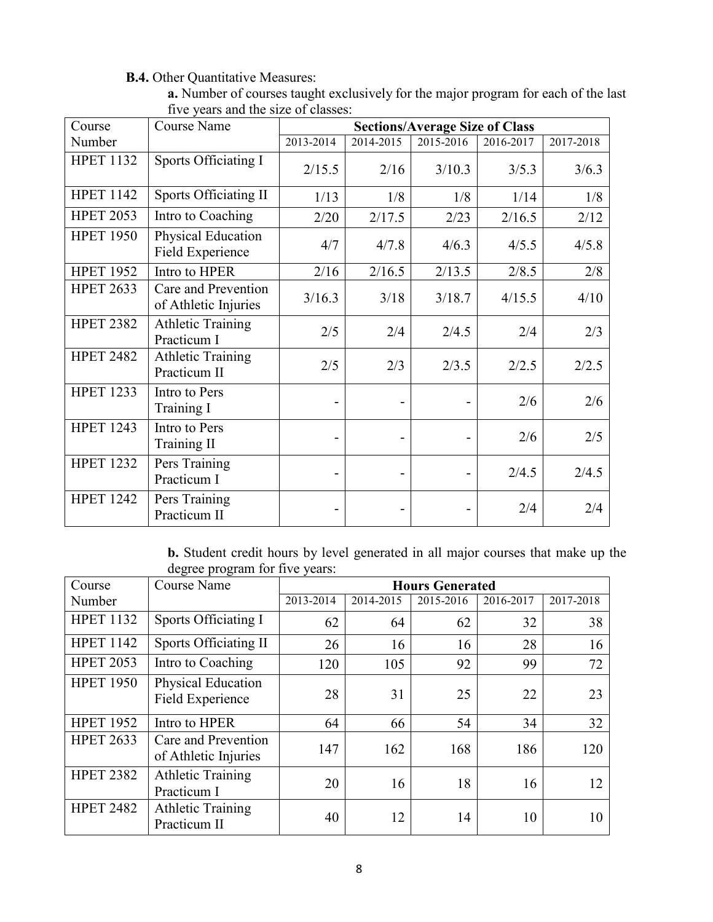# **B.4.** Other Quantitative Measures:

| a. Number of courses taught exclusively for the major program for each of the last |
|------------------------------------------------------------------------------------|
| five years and the size of classes:                                                |

| Course           | <b>Course Name</b>                          | <b>Sections/Average Size of Class</b> |           |           |           |           |
|------------------|---------------------------------------------|---------------------------------------|-----------|-----------|-----------|-----------|
| Number           |                                             | 2013-2014                             | 2014-2015 | 2015-2016 | 2016-2017 | 2017-2018 |
| <b>HPET 1132</b> | Sports Officiating I                        | 2/15.5                                | 2/16      | 3/10.3    | 3/5.3     | 3/6.3     |
| <b>HPET 1142</b> | <b>Sports Officiating II</b>                | 1/13                                  | 1/8       | 1/8       | 1/14      | 1/8       |
| <b>HPET 2053</b> | Intro to Coaching                           | 2/20                                  | 2/17.5    | 2/23      | 2/16.5    | 2/12      |
| <b>HPET 1950</b> | Physical Education<br>Field Experience      | 4/7                                   | 4/7.8     | 4/6.3     | 4/5.5     | 4/5.8     |
| <b>HPET 1952</b> | Intro to HPER                               | 2/16                                  | 2/16.5    | 2/13.5    | 2/8.5     | 2/8       |
| <b>HPET 2633</b> | Care and Prevention<br>of Athletic Injuries | 3/16.3                                | 3/18      | 3/18.7    | 4/15.5    | 4/10      |
| <b>HPET 2382</b> | <b>Athletic Training</b><br>Practicum I     | 2/5                                   | 2/4       | 2/4.5     | 2/4       | 2/3       |
| <b>HPET 2482</b> | <b>Athletic Training</b><br>Practicum II    | 2/5                                   | 2/3       | 2/3.5     | 2/2.5     | 2/2.5     |
| <b>HPET 1233</b> | Intro to Pers<br>Training I                 |                                       |           |           | 2/6       | 2/6       |
| <b>HPET 1243</b> | Intro to Pers<br>Training II                |                                       |           |           | 2/6       | 2/5       |
| <b>HPET 1232</b> | Pers Training<br>Practicum I                | $\blacksquare$                        | -         |           | 2/4.5     | 2/4.5     |
| <b>HPET 1242</b> | Pers Training<br>Practicum II               |                                       |           |           | 2/4       | 2/4       |

**b.** Student credit hours by level generated in all major courses that make up the degree program for five years:

| Course           | <b>Course Name</b>                          | <b>Hours Generated</b> |           |           |           |           |
|------------------|---------------------------------------------|------------------------|-----------|-----------|-----------|-----------|
| Number           |                                             | 2013-2014              | 2014-2015 | 2015-2016 | 2016-2017 | 2017-2018 |
| <b>HPET 1132</b> | Sports Officiating I                        | 62                     | 64        | 62        | 32        | 38        |
| <b>HPET 1142</b> | Sports Officiating II                       | 26                     | 16        | 16        | 28        | 16        |
| <b>HPET 2053</b> | Intro to Coaching                           | 120                    | 105       | 92        | 99        | 72        |
| <b>HPET 1950</b> | Physical Education<br>Field Experience      | 28                     | 31        | 25        | 22        | 23        |
| <b>HPET 1952</b> | Intro to HPER                               | 64                     | 66        | 54        | 34        | 32        |
| <b>HPET 2633</b> | Care and Prevention<br>of Athletic Injuries | 147                    | 162       | 168       | 186       | 120       |
| <b>HPET 2382</b> | <b>Athletic Training</b><br>Practicum I     | 20                     | 16        | 18        | 16        | 12        |
| <b>HPET 2482</b> | <b>Athletic Training</b><br>Practicum II    | 40                     | 12        | 14        | 10        | 10        |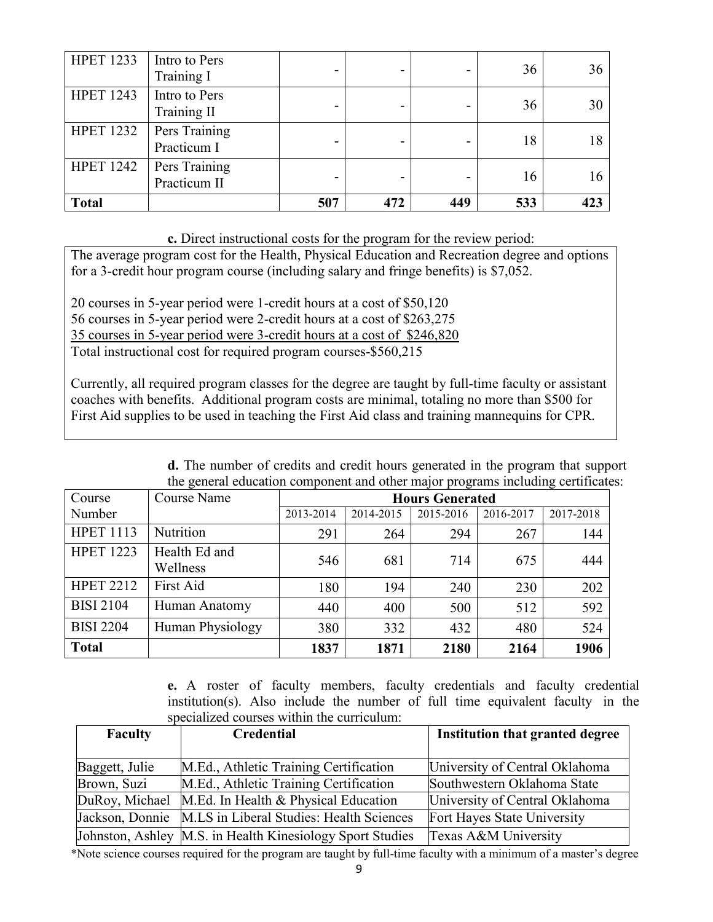| <b>HPET 1233</b> | Intro to Pers<br>Training I   |     | -   |     | 36  | 36 |
|------------------|-------------------------------|-----|-----|-----|-----|----|
| <b>HPET 1243</b> | Intro to Pers<br>Training II  |     |     |     | 36  | 30 |
| <b>HPET 1232</b> | Pers Training<br>Practicum I  |     |     |     | 18  | 18 |
| <b>HPET 1242</b> | Pers Training<br>Practicum II |     |     |     | 16  | 16 |
| <b>Total</b>     |                               | 507 | 472 | 449 | 533 |    |

**c.** Direct instructional costs for the program for the review period:

The average program cost for the Health, Physical Education and Recreation degree and options for a 3-credit hour program course (including salary and fringe benefits) is \$7,052.

20 courses in 5-year period were 1-credit hours at a cost of \$50,120 56 courses in 5-year period were 2-credit hours at a cost of \$263,275 35 courses in 5-year period were 3-credit hours at a cost of \$246,820 Total instructional cost for required program courses-\$560,215

Currently, all required program classes for the degree are taught by full-time faculty or assistant coaches with benefits. Additional program costs are minimal, totaling no more than \$500 for First Aid supplies to be used in teaching the First Aid class and training mannequins for CPR.

| are general cuication component and other major programs including certificati |                           |                        |           |           |           |           |
|--------------------------------------------------------------------------------|---------------------------|------------------------|-----------|-----------|-----------|-----------|
| Course                                                                         | Course Name               | <b>Hours Generated</b> |           |           |           |           |
| Number                                                                         |                           | 2013-2014              | 2014-2015 | 2015-2016 | 2016-2017 | 2017-2018 |
| <b>HPET 1113</b>                                                               | Nutrition                 | 291                    | 264       | 294       | 267       | 144       |
| <b>HPET 1223</b>                                                               | Health Ed and<br>Wellness | 546                    | 681       | 714       | 675       | 444       |
| <b>HPET 2212</b>                                                               | First Aid                 | 180                    | 194       | 240       | 230       | 202       |
| <b>BISI 2104</b>                                                               | Human Anatomy             | 440                    | 400       | 500       | 512       | 592       |
| <b>BISI 2204</b>                                                               | Human Physiology          | 380                    | 332       | 432       | 480       | 524       |
| <b>Total</b>                                                                   |                           | 1837                   | 1871      | 2180      | 2164      | 1906      |

**d.** The number of credits and credit hours generated in the program that support the general education component and other major programs including certificates:

**e.** A roster of faculty members, faculty credentials and faculty credential institution(s). Also include the number of full time equivalent faculty in the specialized courses within the curriculum:

| <b>Faculty</b>  | Credential                                                | Institution that granted degree |  |
|-----------------|-----------------------------------------------------------|---------------------------------|--|
|                 |                                                           |                                 |  |
| Baggett, Julie  | M.Ed., Athletic Training Certification                    | University of Central Oklahoma  |  |
| Brown, Suzi     | M.Ed., Athletic Training Certification                    | Southwestern Oklahoma State     |  |
|                 | DuRoy, Michael M.Ed. In Health & Physical Education       | University of Central Oklahoma  |  |
| Jackson, Donnie | M.LS in Liberal Studies: Health Sciences                  | Fort Hayes State University     |  |
|                 | Johnston, Ashley M.S. in Health Kinesiology Sport Studies | Texas A&M University            |  |

\*Note science courses required for the program are taught by full-time faculty with a minimum of a master's degree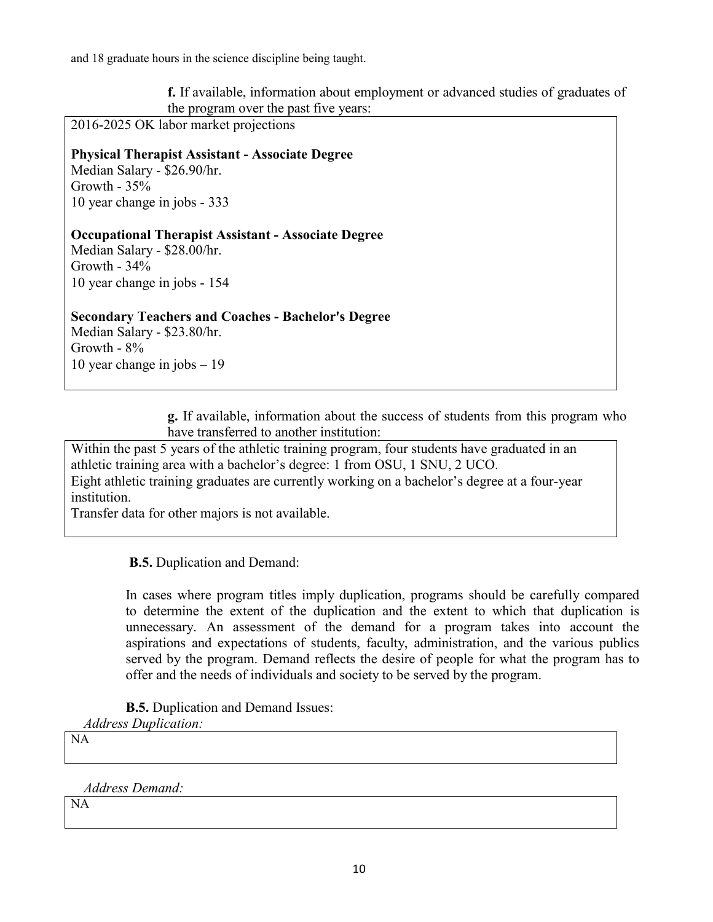and 18 graduate hours in the science discipline being taught.

**f.** If available, information about employment or advanced studies of graduates of the program over the past five years:

2016-2025 OK labor market projections

**Physical Therapist Assistant - Associate Degree** Median Salary - \$26.90/hr. Growth - 35% 10 year change in jobs - 333

**Occupational Therapist Assistant - Associate Degree** Median Salary - \$28.00/hr. Growth - 34% 10 year change in jobs - 154

**Secondary Teachers and Coaches - Bachelor's Degree** Median Salary - \$23.80/hr. Growth - 8% 10 year change in jobs – 19

> **g.** If available, information about the success of students from this program who have transferred to another institution:

Within the past 5 years of the athletic training program, four students have graduated in an athletic training area with a bachelor's degree: 1 from OSU, 1 SNU, 2 UCO. Eight athletic training graduates are currently working on a bachelor's degree at a four-year institution.

Transfer data for other majors is not available.

**B.5.** Duplication and Demand:

In cases where program titles imply duplication, programs should be carefully compared to determine the extent of the duplication and the extent to which that duplication is unnecessary. An assessment of the demand for a program takes into account the aspirations and expectations of students, faculty, administration, and the various publics served by the program. Demand reflects the desire of people for what the program has to offer and the needs of individuals and society to be served by the program.

**B.5.** Duplication and Demand Issues:

*Address Duplication:*

NA

*Address Demand:*

NA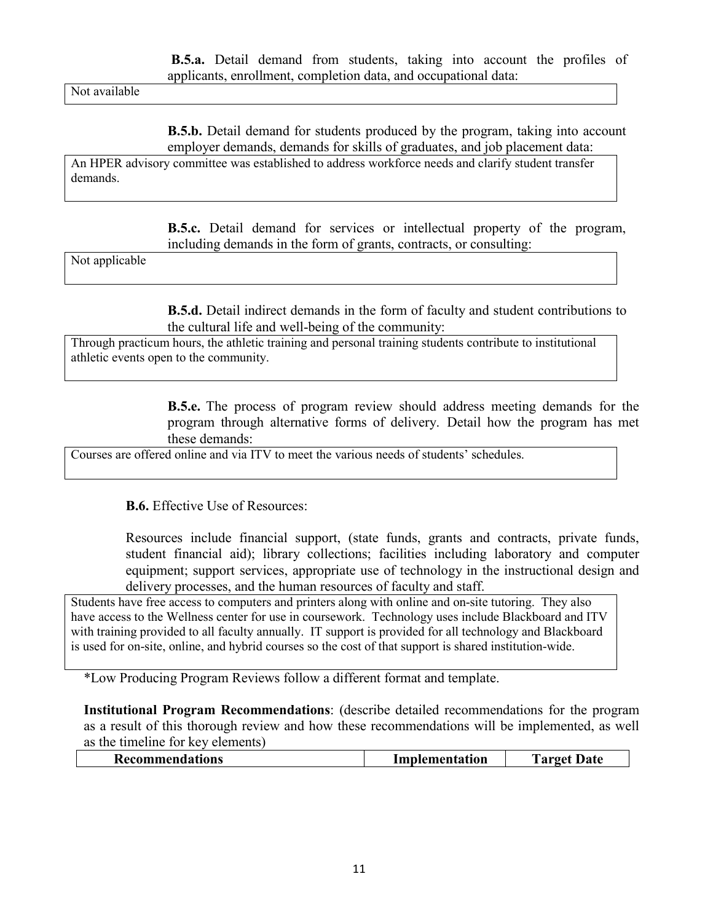Not available

**B.5.b.** Detail demand for students produced by the program, taking into account employer demands, demands for skills of graduates, and job placement data:

An HPER advisory committee was established to address workforce needs and clarify student transfer demands.

> **B.5.c.** Detail demand for services or intellectual property of the program, including demands in the form of grants, contracts, or consulting:

Not applicable

**B.5.d.** Detail indirect demands in the form of faculty and student contributions to the cultural life and well-being of the community:

Through practicum hours, the athletic training and personal training students contribute to institutional athletic events open to the community.

> **B.5.e.** The process of program review should address meeting demands for the program through alternative forms of delivery. Detail how the program has met these demands:

Courses are offered online and via ITV to meet the various needs of students' schedules.

**B.6.** Effective Use of Resources:

Resources include financial support, (state funds, grants and contracts, private funds, student financial aid); library collections; facilities including laboratory and computer equipment; support services, appropriate use of technology in the instructional design and delivery processes, and the human resources of faculty and staff.

Students have free access to computers and printers along with online and on-site tutoring. They also have access to the Wellness center for use in coursework. Technology uses include Blackboard and ITV with training provided to all faculty annually. IT support is provided for all technology and Blackboard is used for on-site, online, and hybrid courses so the cost of that support is shared institution-wide.

\*Low Producing Program Reviews follow a different format and template.

**Institutional Program Recommendations**: (describe detailed recommendations for the program as a result of this thorough review and how these recommendations will be implemented, as well as the timeline for key elements)